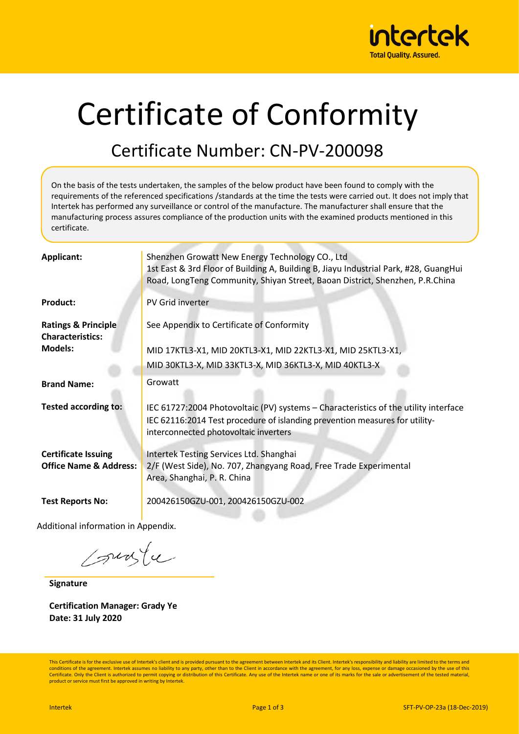

# Certificate of Conformity

#### Certificate Number: CN-PV-200098

On the basis of the tests undertaken, the samples of the below product have been found to comply with the requirements of the referenced specifications /standards at the time the tests were carried out. It does not imply that Intertek has performed any surveillance or control of the manufacture. The manufacturer shall ensure that the manufacturing process assures compliance of the production units with the examined products mentioned in this certificate.

| <b>Applicant:</b>                                               | Shenzhen Growatt New Energy Technology CO., Ltd<br>1st East & 3rd Floor of Building A, Building B, Jiayu Industrial Park, #28, GuangHui<br>Road, LongTeng Community, Shiyan Street, Baoan District, Shenzhen, P.R.China |
|-----------------------------------------------------------------|-------------------------------------------------------------------------------------------------------------------------------------------------------------------------------------------------------------------------|
| <b>Product:</b>                                                 | PV Grid inverter                                                                                                                                                                                                        |
| <b>Ratings &amp; Principle</b><br><b>Characteristics:</b>       | See Appendix to Certificate of Conformity                                                                                                                                                                               |
| <b>Models:</b>                                                  | MID 17KTL3-X1, MID 20KTL3-X1, MID 22KTL3-X1, MID 25KTL3-X1,                                                                                                                                                             |
|                                                                 | MID 30KTL3-X, MID 33KTL3-X, MID 36KTL3-X, MID 40KTL3-X                                                                                                                                                                  |
| <b>Brand Name:</b>                                              | Growatt                                                                                                                                                                                                                 |
| <b>Tested according to:</b>                                     | IEC 61727:2004 Photovoltaic (PV) systems - Characteristics of the utility interface<br>IEC 62116:2014 Test procedure of islanding prevention measures for utility-<br>interconnected photovoltaic inverters             |
| <b>Certificate Issuing</b><br><b>Office Name &amp; Address:</b> | Intertek Testing Services Ltd. Shanghai<br>2/F (West Side), No. 707, Zhangyang Road, Free Trade Experimental<br>Area, Shanghai, P. R. China                                                                             |
| <b>Test Reports No:</b>                                         | 200426150GZU-001, 200426150GZU-002                                                                                                                                                                                      |

Additional information in Appendix.

sunte

**Signature**

**Certification Manager: Grady Ye Date: 31 July 2020**

This Certificate is for the exclusive use of Intertek's client and is provided pursuant to the agreement between Intertek and its Client. Intertek's responsibility and liability are limited to the terms and conditions of the agreement. Intertek assumes no liability to any party, other than to the Client in accordance with the agreement, for any loss, expense or damage occasioned by the use of this Certificate. Only the Client is authorized to permit copying or distribution of this Certificate. Any use of the Intertek name or one of its marks for the sale or advertisement of the tested material, product or service must first be approved in writing by Intertek.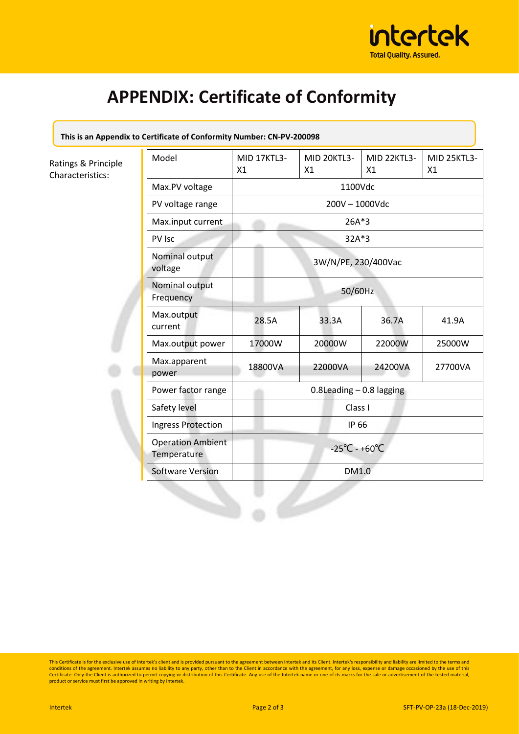

## **APPENDIX: Certificate of Conformity**

**This is an Appendix to Certificate of Conformity Number: CN-PV-200098**

Ratings & Principle Characteristics:

| Model                                   | MID 17KTL3-<br>X1                  | MID 20KTL3-<br>X1 | MID 22KTL3-<br>X1 | <b>MID 25KTL3-</b><br>X1 |
|-----------------------------------------|------------------------------------|-------------------|-------------------|--------------------------|
| Max.PV voltage                          | 1100Vdc                            |                   |                   |                          |
| PV voltage range                        | 200V - 1000Vdc                     |                   |                   |                          |
| Max.input current                       | 26A*3                              |                   |                   |                          |
| PV Isc                                  | 32A*3                              |                   |                   |                          |
| Nominal output<br>voltage               | 3W/N/PE, 230/400Vac                |                   |                   |                          |
| Nominal output<br>Frequency             | 50/60Hz                            |                   |                   |                          |
| Max.output<br>current                   | 28.5A                              | 33.3A             | 36.7A             | 41.9A                    |
| Max.output power                        | 17000W                             | 20000W            | 22000W            | 25000W                   |
| Max.apparent<br>power                   | 18800VA                            | 22000VA           | 24200VA           | 27700VA                  |
| Power factor range                      | $0.8$ Leading $-0.8$ lagging       |                   |                   |                          |
| Safety level                            | Class I                            |                   |                   |                          |
| Ingress Protection                      | IP 66                              |                   |                   |                          |
| <b>Operation Ambient</b><br>Temperature | $-25^{\circ}$ C - +60 $^{\circ}$ C |                   |                   |                          |
| <b>Software Version</b>                 | DM1.0                              |                   |                   |                          |

This Certificate is for the exclusive use of Intertek's client and is provided pursuant to the agreement between Intertek and its Client. Intertek's responsibility and liability are limited to the terms and<br>conditions of t Certificate. Only the Client is authorized to permit copying or distribution of this Certificate. Any use of the Intertek name or one of its marks for the sale or advertisement of the tested material,<br>product or service mu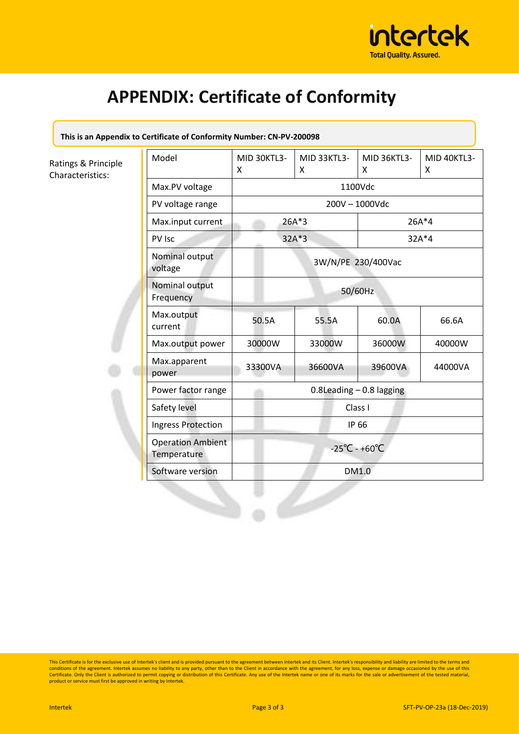

## **APPENDIX: Certificate of Conformity**

**This is an Appendix to Certificate of Conformity Number: CN-PV-200098**

Ratings & Principle Characteristics:

| Model                                   | MID 30KTL3-<br>Χ                   | <b>MID 33KTL3-</b><br>X | <b>MID 36KTL3-</b><br>X | MID 40KTL3-<br>X |
|-----------------------------------------|------------------------------------|-------------------------|-------------------------|------------------|
| Max.PV voltage                          | 1100Vdc                            |                         |                         |                  |
| PV voltage range                        | 200V - 1000Vdc                     |                         |                         |                  |
| Max.input current                       | 26A*3                              |                         | $26A*4$                 |                  |
| PV Isc                                  | 32A*3                              |                         | 32A*4                   |                  |
| Nominal output<br>voltage               | 3W/N/PE 230/400Vac                 |                         |                         |                  |
| Nominal output<br>Frequency             | 50/60Hz                            |                         |                         |                  |
| Max.output<br>current                   | 50.5A                              | 55.5A                   | 60.0A                   | 66.6A            |
| Max.output power                        | 30000W                             | 33000W                  | 36000W                  | 40000W           |
| Max.apparent<br>power                   | 33300VA                            | 36600VA                 | 39600VA                 | 44000VA          |
| Power factor range                      | $0.8$ Leading $-0.8$ lagging       |                         |                         |                  |
| Safety level                            | Class I                            |                         |                         |                  |
| <b>Ingress Protection</b>               | IP 66                              |                         |                         |                  |
| <b>Operation Ambient</b><br>Temperature | $-25^{\circ}$ C - +60 $^{\circ}$ C |                         |                         |                  |
| Software version                        | DM1.0                              |                         |                         |                  |

This Certificate is for the exclusive use of Intertek's client and is provided pursuant to the agreement between Intertek and its Client. Intertek's responsibility and liability are limited to the terms and<br>conditions of t Certificate. Only the Client is authorized to permit copying or distribution of this Certificate. Any use of the Intertek name or one of its marks for the sale or advertisement of the tested material,<br>product or service mu